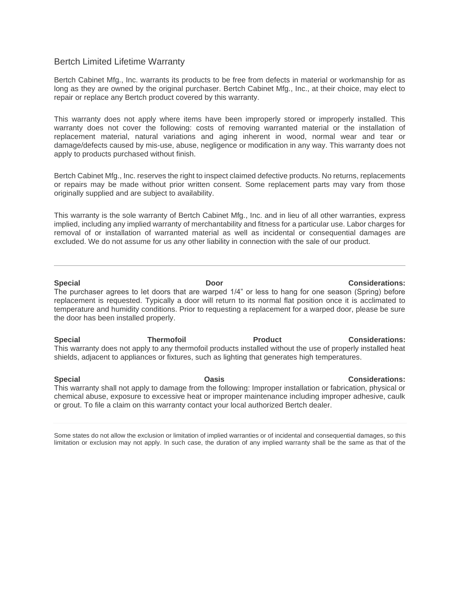## Bertch Limited Lifetime Warranty

Bertch Cabinet Mfg., Inc. warrants its products to be free from defects in material or workmanship for as long as they are owned by the original purchaser. Bertch Cabinet Mfg., Inc., at their choice, may elect to repair or replace any Bertch product covered by this warranty.

This warranty does not apply where items have been improperly stored or improperly installed. This warranty does not cover the following: costs of removing warranted material or the installation of replacement material, natural variations and aging inherent in wood, normal wear and tear or damage/defects caused by mis-use, abuse, negligence or modification in any way. This warranty does not apply to products purchased without finish.

Bertch Cabinet Mfg., Inc. reserves the right to inspect claimed defective products. No returns, replacements or repairs may be made without prior written consent. Some replacement parts may vary from those originally supplied and are subject to availability.

This warranty is the sole warranty of Bertch Cabinet Mfg., Inc. and in lieu of all other warranties, express implied, including any implied warranty of merchantability and fitness for a particular use. Labor charges for removal of or installation of warranted material as well as incidental or consequential damages are excluded. We do not assume for us any other liability in connection with the sale of our product.

## **Special Door Considerations:**

The purchaser agrees to let doors that are warped 1/4" or less to hang for one season (Spring) before replacement is requested. Typically a door will return to its normal flat position once it is acclimated to temperature and humidity conditions. Prior to requesting a replacement for a warped door, please be sure the door has been installed properly.

**Special Thermofoil Product Considerations:** This warranty does not apply to any thermofoil products installed without the use of properly installed heat shields, adjacent to appliances or fixtures, such as lighting that generates high temperatures.

**Special Oasis Considerations:** This warranty shall not apply to damage from the following: Improper installation or fabrication, physical or chemical abuse, exposure to excessive heat or improper maintenance including improper adhesive, caulk or grout. To file a claim on this warranty contact your local authorized Bertch dealer.

Some states do not allow the exclusion or limitation of implied warranties or of incidental and consequential damages, so this limitation or exclusion may not apply. In such case, the duration of any implied warranty shall be the same as that of the